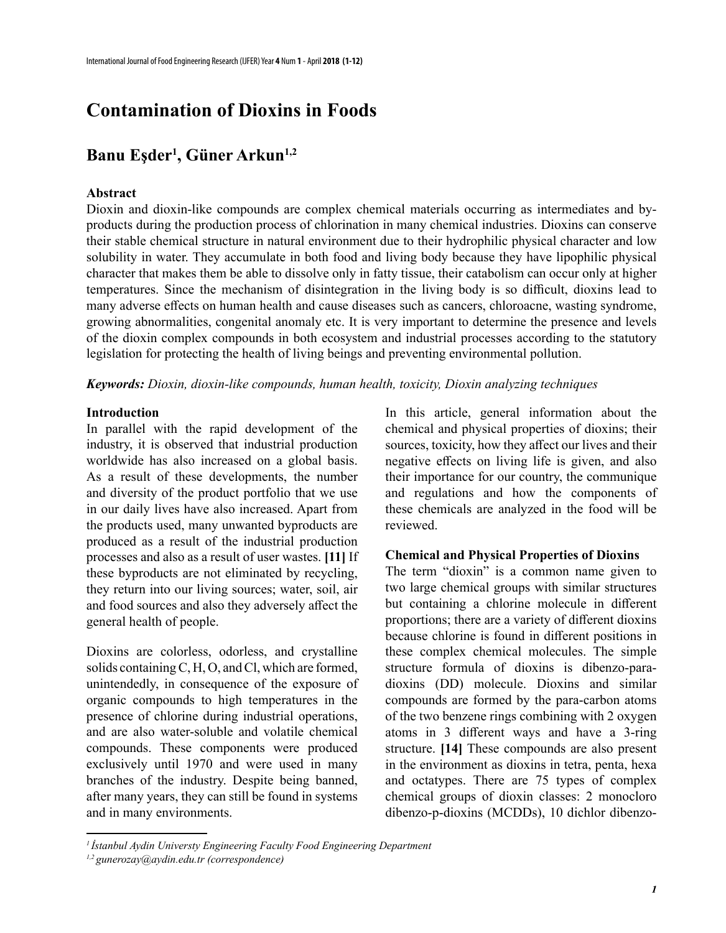# **Contamination of Dioxins in Foods**

## **Banu Eşder<sup>1</sup> , Güner Arkun1,2**

#### **Abstract**

Dioxin and dioxin-like compounds are complex chemical materials occurring as intermediates and byproducts during the production process of chlorination in many chemical industries. Dioxins can conserve their stable chemical structure in natural environment due to their hydrophilic physical character and low solubility in water. They accumulate in both food and living body because they have lipophilic physical character that makes them be able to dissolve only in fatty tissue, their catabolism can occur only at higher temperatures. Since the mechanism of disintegration in the living body is so difficult, dioxins lead to many adverse effects on human health and cause diseases such as cancers, chloroacne, wasting syndrome, growing abnormalities, congenital anomaly etc. It is very important to determine the presence and levels of the dioxin complex compounds in both ecosystem and industrial processes according to the statutory legislation for protecting the health of living beings and preventing environmental pollution.

*Keywords: Dioxin, dioxin-like compounds, human health, toxicity, Dioxin analyzing techniques*

#### **Introduction**

In parallel with the rapid development of the industry, it is observed that industrial production worldwide has also increased on a global basis. As a result of these developments, the number and diversity of the product portfolio that we use in our daily lives have also increased. Apart from the products used, many unwanted byproducts are produced as a result of the industrial production processes and also as a result of user wastes. **[11]** If these byproducts are not eliminated by recycling, they return into our living sources; water, soil, air and food sources and also they adversely affect the general health of people.

Dioxins are colorless, odorless, and crystalline solids containing C, H, O, and Cl, which are formed, unintendedly, in consequence of the exposure of organic compounds to high temperatures in the presence of chlorine during industrial operations, and are also water-soluble and volatile chemical compounds. These components were produced exclusively until 1970 and were used in many branches of the industry. Despite being banned, after many years, they can still be found in systems and in many environments.

In this article, general information about the chemical and physical properties of dioxins; their sources, toxicity, how they affect our lives and their negative effects on living life is given, and also their importance for our country, the communique and regulations and how the components of these chemicals are analyzed in the food will be reviewed.

#### **Chemical and Physical Properties of Dioxins**

The term "dioxin" is a common name given to two large chemical groups with similar structures but containing a chlorine molecule in different proportions; there are a variety of different dioxins because chlorine is found in different positions in these complex chemical molecules. The simple structure formula of dioxins is dibenzo-paradioxins (DD) molecule. Dioxins and similar compounds are formed by the para-carbon atoms of the two benzene rings combining with 2 oxygen atoms in 3 different ways and have a 3-ring structure. **[14]** These compounds are also present in the environment as dioxins in tetra, penta, hexa and octatypes. There are 75 types of complex chemical groups of dioxin classes: 2 monocloro dibenzo-p-dioxins (MCDDs), 10 dichlor dibenzo-

*<sup>1</sup>İstanbul Aydin Universty Engineering Faculty Food Engineering Department*

*<sup>1,2</sup> gunerozay@aydin.edu.tr (correspondence)*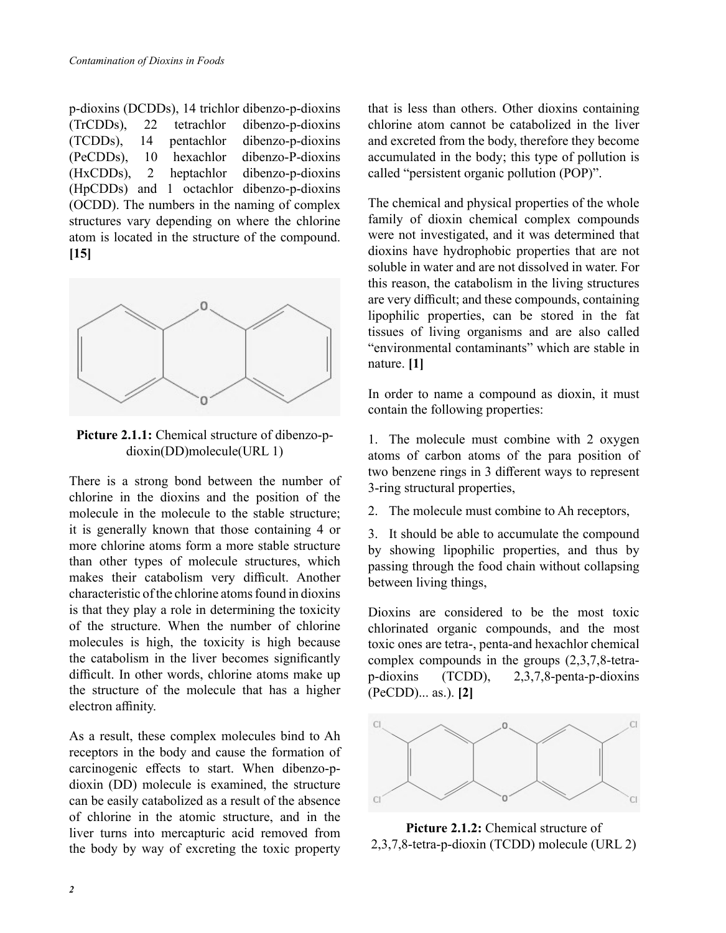p-dioxins (DCDDs), 14 trichlor dibenzo-p-dioxins (TrCDDs), 22 tetrachlor dibenzo-p-dioxins (TCDDs), 14 pentachlor dibenzo-p-dioxins (PeCDDs), 10 hexachlor dibenzo-P-dioxins (HxCDDs), 2 heptachlor dibenzo-p-dioxins (HpCDDs) and 1 octachlor dibenzo-p-dioxins (OCDD). The numbers in the naming of complex structures vary depending on where the chlorine atom is located in the structure of the compound. **[15]**



**Picture 2.1.1:** Chemical structure of dibenzo-pdioxin(DD)molecule(URL 1)

There is a strong bond between the number of chlorine in the dioxins and the position of the molecule in the molecule to the stable structure; it is generally known that those containing 4 or more chlorine atoms form a more stable structure than other types of molecule structures, which makes their catabolism very difficult. Another characteristic of the chlorine atoms found in dioxins is that they play a role in determining the toxicity of the structure. When the number of chlorine molecules is high, the toxicity is high because the catabolism in the liver becomes significantly difficult. In other words, chlorine atoms make up the structure of the molecule that has a higher electron affinity.

As a result, these complex molecules bind to Ah receptors in the body and cause the formation of carcinogenic effects to start. When dibenzo-pdioxin (DD) molecule is examined, the structure can be easily catabolized as a result of the absence of chlorine in the atomic structure, and in the liver turns into mercapturic acid removed from the body by way of excreting the toxic property

that is less than others. Other dioxins containing chlorine atom cannot be catabolized in the liver and excreted from the body, therefore they become accumulated in the body; this type of pollution is called "persistent organic pollution (POP)".

The chemical and physical properties of the whole family of dioxin chemical complex compounds were not investigated, and it was determined that dioxins have hydrophobic properties that are not soluble in water and are not dissolved in water. For this reason, the catabolism in the living structures are very difficult; and these compounds, containing lipophilic properties, can be stored in the fat tissues of living organisms and are also called "environmental contaminants" which are stable in nature. **[1]**

In order to name a compound as dioxin, it must contain the following properties:

1. The molecule must combine with 2 oxygen atoms of carbon atoms of the para position of two benzene rings in 3 different ways to represent 3-ring structural properties,

2. The molecule must combine to Ah receptors,

3. It should be able to accumulate the compound by showing lipophilic properties, and thus by passing through the food chain without collapsing between living things,

Dioxins are considered to be the most toxic chlorinated organic compounds, and the most toxic ones are tetra-, penta-and hexachlor chemical complex compounds in the groups (2,3,7,8-tetrap-dioxins (TCDD), 2,3,7,8-penta-p-dioxins (PeCDD)... as.). **[2]**



**Picture 2.1.2:** Chemical structure of 2,3,7,8-tetra-p-dioxin (TCDD) molecule (URL 2)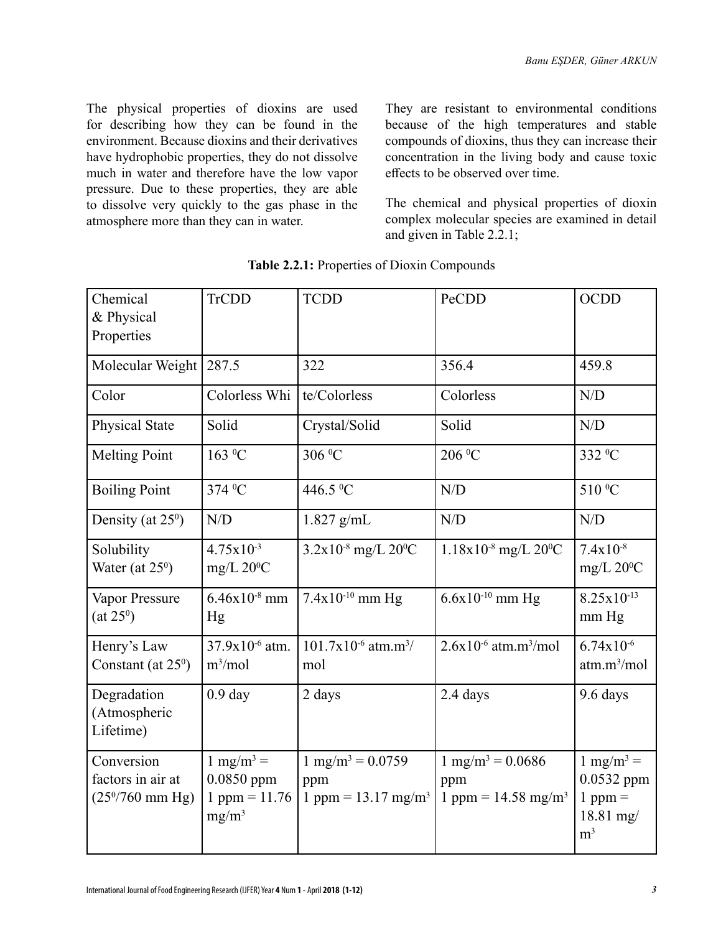The physical properties of dioxins are used for describing how they can be found in the environment. Because dioxins and their derivatives have hydrophobic properties, they do not dissolve much in water and therefore have the low vapor pressure. Due to these properties, they are able to dissolve very quickly to the gas phase in the atmosphere more than they can in water.

They are resistant to environmental conditions because of the high temperatures and stable compounds of dioxins, thus they can increase their concentration in the living body and cause toxic effects to be observed over time.

The chemical and physical properties of dioxin complex molecular species are examined in detail and given in Table 2.2.1;

| Chemical<br>& Physical<br>Properties                         | <b>TrCDD</b>                                                        | <b>TCDD</b>                                                             | PeCDD                                                                   | <b>OCDD</b>                                                                                    |
|--------------------------------------------------------------|---------------------------------------------------------------------|-------------------------------------------------------------------------|-------------------------------------------------------------------------|------------------------------------------------------------------------------------------------|
| Molecular Weight                                             | 287.5                                                               | 322                                                                     | 356.4                                                                   | 459.8                                                                                          |
| Color                                                        | Colorless Whi                                                       | te/Colorless                                                            | Colorless                                                               | N/D                                                                                            |
| <b>Physical State</b>                                        | Solid                                                               | Crystal/Solid                                                           | Solid                                                                   | N/D                                                                                            |
| <b>Melting Point</b>                                         | 163 <sup>o</sup> C                                                  | 306 °C                                                                  | 206 °C                                                                  | 332 <sup>0</sup> C                                                                             |
| <b>Boiling Point</b>                                         | 374 <sup>0</sup> C                                                  | 446.5 °C                                                                | N/D                                                                     | 510 °C                                                                                         |
| Density (at $25^{\circ}$ )                                   | N/D                                                                 | $1.827$ g/mL                                                            | N/D                                                                     | N/D                                                                                            |
| Solubility<br>Water (at $25^{\circ}$ )                       | $4.75x10^{-3}$<br>mg/L $20^{\circ}$ C                               | $3.2x10^{8}$ mg/L $20^{0}$ C                                            | $1.18x10^{8}$ mg/L $20^{0}$ C                                           | $7.4x10^{-8}$<br>mg/L $20^0C$                                                                  |
| Vapor Pressure<br>(at 25 <sup>0</sup> )                      | $6.46x10^{8}$ mm<br>Hg                                              | $7.4x10^{-10}$ mm Hg                                                    | $6.6x10^{-10}$ mm Hg                                                    | $8.25x10^{-13}$<br>mm Hg                                                                       |
| Henry's Law<br>Constant (at $25^{\circ}$ )                   | 37.9x10 <sup>-6</sup> atm.<br>$m^3/mol$                             | $101.7x10^{-6}$ atm.m <sup>3</sup> /<br>mol                             | $2.6x10^{-6}$ atm.m <sup>3</sup> /mol                                   | $6.74x10^{-6}$<br>atm.m <sup>3</sup> /mol                                                      |
| Degradation<br>(Atmospheric<br>Lifetime)                     | 0.9 <sub>day</sub>                                                  | 2 days                                                                  | 2.4 days                                                                | 9.6 days                                                                                       |
| Conversion<br>factors in air at<br>$(25\frac{9}{760}$ mm Hg) | $1 \text{ mg/m}^3$ =<br>$0.0850$ ppm<br>1 ppm = $11.76$<br>$mg/m^3$ | $1 \text{ mg/m}^3 = 0.0759$<br>ppm<br>1 ppm = $13.17$ mg/m <sup>3</sup> | $1 \text{ mg/m}^3 = 0.0686$<br>ppm<br>1 ppm = $14.58$ mg/m <sup>3</sup> | $1$ mg/m <sup>3</sup> =<br>0.0532 ppm<br>$1$ ppm $=$<br>$18.81 \text{ mg}$ /<br>m <sup>3</sup> |

**Table 2.2.1:** Properties of Dioxin Compounds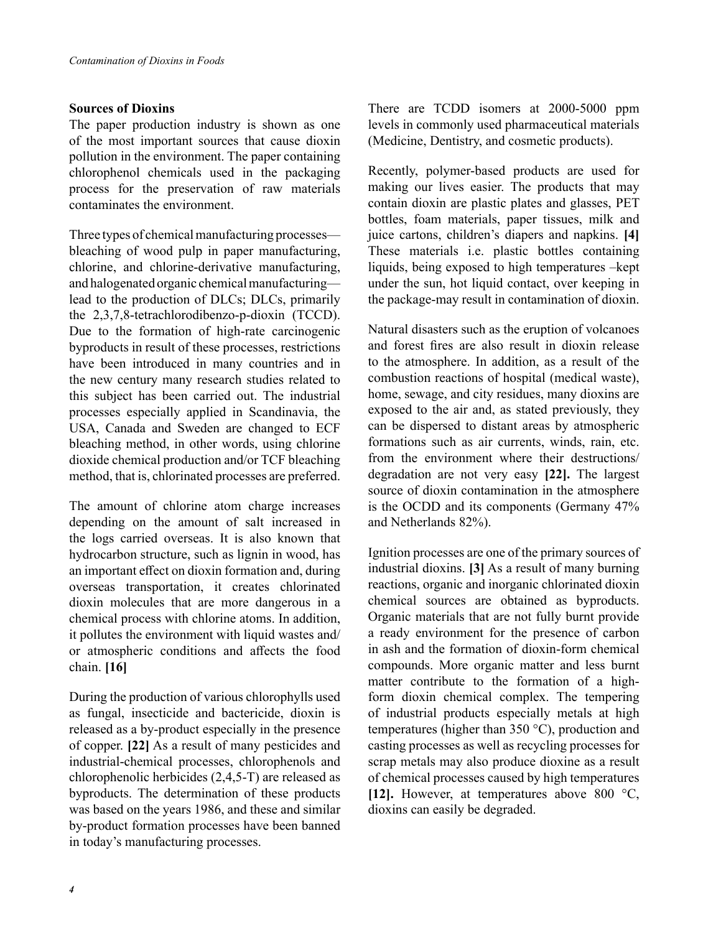#### **Sources of Dioxins**

The paper production industry is shown as one of the most important sources that cause dioxin pollution in the environment. The paper containing chlorophenol chemicals used in the packaging process for the preservation of raw materials contaminates the environment.

Three types of chemical manufacturing processes bleaching of wood pulp in paper manufacturing, chlorine, and chlorine-derivative manufacturing, and halogenated organic chemical manufacturing lead to the production of DLCs; DLCs, primarily the 2,3,7,8-tetrachlorodibenzo-p-dioxin (TCCD). Due to the formation of high-rate carcinogenic byproducts in result of these processes, restrictions have been introduced in many countries and in the new century many research studies related to this subject has been carried out. The industrial processes especially applied in Scandinavia, the USA, Canada and Sweden are changed to ECF bleaching method, in other words, using chlorine dioxide chemical production and/or TCF bleaching method, that is, chlorinated processes are preferred.

The amount of chlorine atom charge increases depending on the amount of salt increased in the logs carried overseas. It is also known that hydrocarbon structure, such as lignin in wood, has an important effect on dioxin formation and, during overseas transportation, it creates chlorinated dioxin molecules that are more dangerous in a chemical process with chlorine atoms. In addition, it pollutes the environment with liquid wastes and/ or atmospheric conditions and affects the food chain. **[16]**

During the production of various chlorophylls used as fungal, insecticide and bactericide, dioxin is released as a by-product especially in the presence of copper. **[22]** As a result of many pesticides and industrial-chemical processes, chlorophenols and chlorophenolic herbicides (2,4,5-T) are released as byproducts. The determination of these products was based on the years 1986, and these and similar by-product formation processes have been banned in today's manufacturing processes.

There are TCDD isomers at 2000-5000 ppm levels in commonly used pharmaceutical materials (Medicine, Dentistry, and cosmetic products).

Recently, polymer-based products are used for making our lives easier. The products that may contain dioxin are plastic plates and glasses, PET bottles, foam materials, paper tissues, milk and juice cartons, children's diapers and napkins. **[4]** These materials i.e. plastic bottles containing liquids, being exposed to high temperatures –kept under the sun, hot liquid contact, over keeping in the package-may result in contamination of dioxin.

Natural disasters such as the eruption of volcanoes and forest fires are also result in dioxin release to the atmosphere. In addition, as a result of the combustion reactions of hospital (medical waste), home, sewage, and city residues, many dioxins are exposed to the air and, as stated previously, they can be dispersed to distant areas by atmospheric formations such as air currents, winds, rain, etc. from the environment where their destructions/ degradation are not very easy **[22].** The largest source of dioxin contamination in the atmosphere is the OCDD and its components (Germany 47% and Netherlands 82%).

Ignition processes are one of the primary sources of industrial dioxins. **[3]** As a result of many burning reactions, organic and inorganic chlorinated dioxin chemical sources are obtained as byproducts. Organic materials that are not fully burnt provide a ready environment for the presence of carbon in ash and the formation of dioxin-form chemical compounds. More organic matter and less burnt matter contribute to the formation of a highform dioxin chemical complex. The tempering of industrial products especially metals at high temperatures (higher than 350 °C), production and casting processes as well as recycling processes for scrap metals may also produce dioxine as a result of chemical processes caused by high temperatures **[12].** However, at temperatures above 800 °C, dioxins can easily be degraded.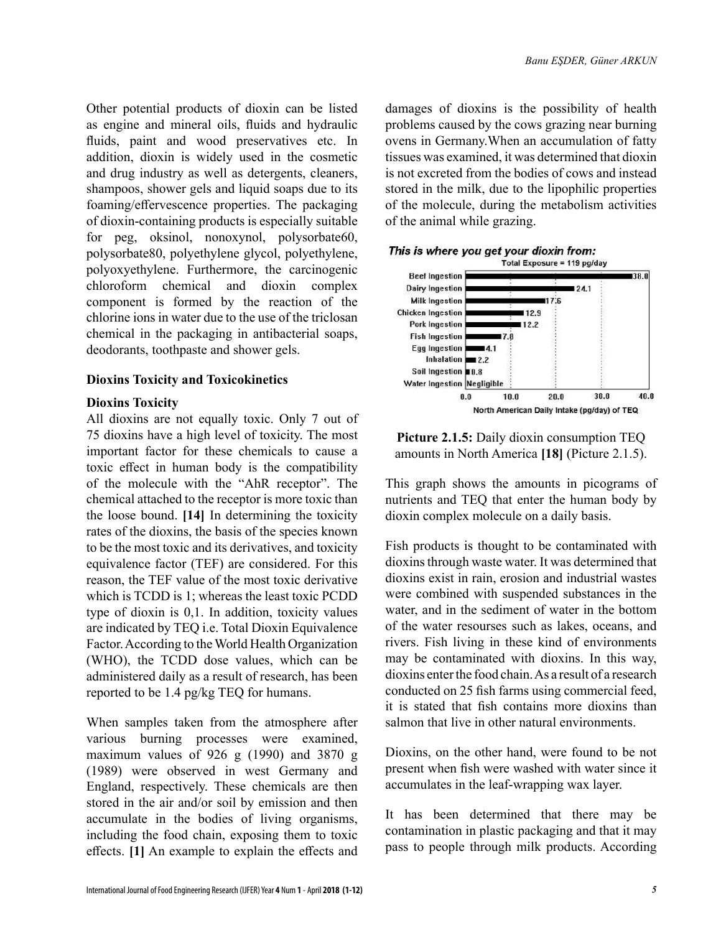Other potential products of dioxin can be listed as engine and mineral oils, fluids and hydraulic fluids, paint and wood preservatives etc. In addition, dioxin is widely used in the cosmetic and drug industry as well as detergents, cleaners, shampoos, shower gels and liquid soaps due to its foaming/effervescence properties. The packaging of dioxin-containing products is especially suitable for peg, oksinol, nonoxynol, polysorbate60, polysorbate80, polyethylene glycol, polyethylene, polyoxyethylene. Furthermore, the carcinogenic chloroform chemical and dioxin complex component is formed by the reaction of the chlorine ions in water due to the use of the triclosan chemical in the packaging in antibacterial soaps, deodorants, toothpaste and shower gels.

#### **Dioxins Toxicity and Toxicokinetics**

#### **Dioxins Toxicity**

All dioxins are not equally toxic. Only 7 out of 75 dioxins have a high level of toxicity. The most important factor for these chemicals to cause a toxic effect in human body is the compatibility of the molecule with the "AhR receptor". The chemical attached to the receptor is more toxic than the loose bound. **[14]** In determining the toxicity rates of the dioxins, the basis of the species known to be the most toxic and its derivatives, and toxicity equivalence factor (TEF) are considered. For this reason, the TEF value of the most toxic derivative which is TCDD is 1; whereas the least toxic PCDD type of dioxin is 0,1. In addition, toxicity values are indicated by TEQ i.e. Total Dioxin Equivalence Factor. According to the World Health Organization (WHO), the TCDD dose values, which can be administered daily as a result of research, has been reported to be 1.4 pg/kg TEQ for humans.

When samples taken from the atmosphere after various burning processes were examined, maximum values of 926 g (1990) and 3870 g (1989) were observed in west Germany and England, respectively. These chemicals are then stored in the air and/or soil by emission and then accumulate in the bodies of living organisms, including the food chain, exposing them to toxic effects. **[1]** An example to explain the effects and damages of dioxins is the possibility of health problems caused by the cows grazing near burning ovens in Germany.When an accumulation of fatty tissues was examined, it was determined that dioxin is not excreted from the bodies of cows and instead stored in the milk, due to the lipophilic properties of the molecule, during the metabolism activities of the animal while grazing.



**Picture 2.1.5:** Daily dioxin consumption TEQ amounts in North America **[18]** (Picture 2.1.5).

This graph shows the amounts in picograms of nutrients and TEQ that enter the human body by dioxin complex molecule on a daily basis.

Fish products is thought to be contaminated with dioxins through waste water. It was determined that dioxins exist in rain, erosion and industrial wastes were combined with suspended substances in the water, and in the sediment of water in the bottom of the water resourses such as lakes, oceans, and rivers. Fish living in these kind of environments may be contaminated with dioxins. In this way, dioxins enter the food chain. As a result of a research conducted on 25 fish farms using commercial feed, it is stated that fish contains more dioxins than salmon that live in other natural environments.

Dioxins, on the other hand, were found to be not present when fish were washed with water since it accumulates in the leaf-wrapping wax layer.

It has been determined that there may be contamination in plastic packaging and that it may pass to people through milk products. According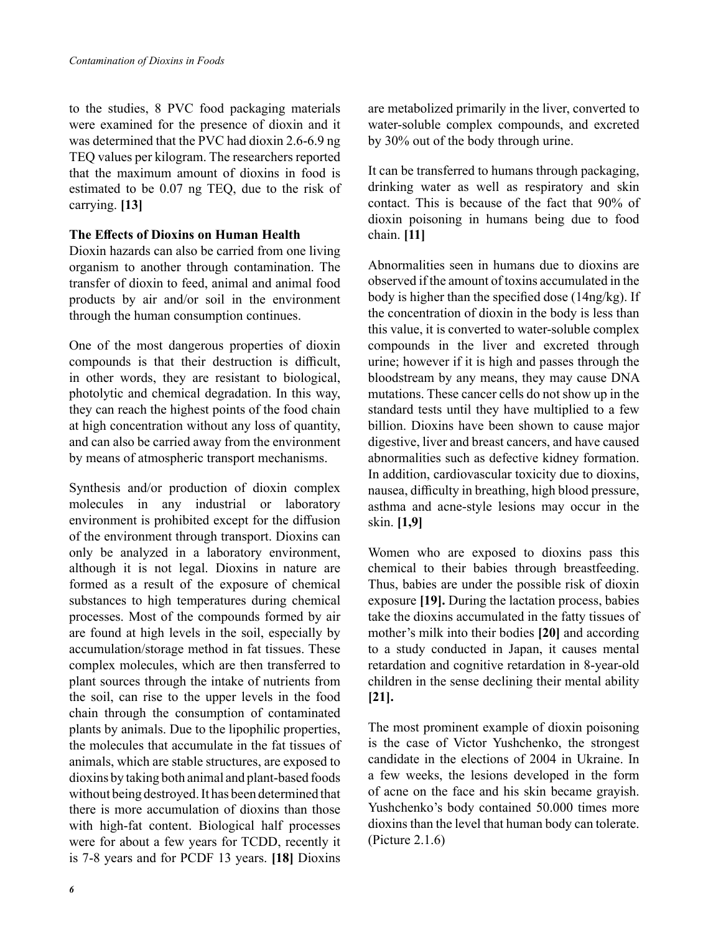to the studies, 8 PVC food packaging materials were examined for the presence of dioxin and it was determined that the PVC had dioxin 2.6-6.9 ng TEQ values per kilogram. The researchers reported that the maximum amount of dioxins in food is estimated to be 0.07 ng TEQ, due to the risk of carrying. **[13]**

#### **The Effects of Dioxins on Human Health**

Dioxin hazards can also be carried from one living organism to another through contamination. The transfer of dioxin to feed, animal and animal food products by air and/or soil in the environment through the human consumption continues.

One of the most dangerous properties of dioxin compounds is that their destruction is difficult, in other words, they are resistant to biological, photolytic and chemical degradation. In this way, they can reach the highest points of the food chain at high concentration without any loss of quantity, and can also be carried away from the environment by means of atmospheric transport mechanisms.

Synthesis and/or production of dioxin complex molecules in any industrial or laboratory environment is prohibited except for the diffusion of the environment through transport. Dioxins can only be analyzed in a laboratory environment, although it is not legal. Dioxins in nature are formed as a result of the exposure of chemical substances to high temperatures during chemical processes. Most of the compounds formed by air are found at high levels in the soil, especially by accumulation/storage method in fat tissues. These complex molecules, which are then transferred to plant sources through the intake of nutrients from the soil, can rise to the upper levels in the food chain through the consumption of contaminated plants by animals. Due to the lipophilic properties, the molecules that accumulate in the fat tissues of animals, which are stable structures, are exposed to dioxins by taking both animal and plant-based foods without being destroyed. It has been determined that there is more accumulation of dioxins than those with high-fat content. Biological half processes were for about a few years for TCDD, recently it is 7-8 years and for PCDF 13 years. **[18]** Dioxins

are metabolized primarily in the liver, converted to water-soluble complex compounds, and excreted by 30% out of the body through urine.

It can be transferred to humans through packaging, drinking water as well as respiratory and skin contact. This is because of the fact that 90% of dioxin poisoning in humans being due to food chain. **[11]**

Abnormalities seen in humans due to dioxins are observed if the amount of toxins accumulated in the body is higher than the specified dose (14ng/kg). If the concentration of dioxin in the body is less than this value, it is converted to water-soluble complex compounds in the liver and excreted through urine; however if it is high and passes through the bloodstream by any means, they may cause DNA mutations. These cancer cells do not show up in the standard tests until they have multiplied to a few billion. Dioxins have been shown to cause major digestive, liver and breast cancers, and have caused abnormalities such as defective kidney formation. In addition, cardiovascular toxicity due to dioxins, nausea, difficulty in breathing, high blood pressure, asthma and acne-style lesions may occur in the skin. **[1,9]**

Women who are exposed to dioxins pass this chemical to their babies through breastfeeding. Thus, babies are under the possible risk of dioxin exposure **[19].** During the lactation process, babies take the dioxins accumulated in the fatty tissues of mother's milk into their bodies **[20]** and according to a study conducted in Japan, it causes mental retardation and cognitive retardation in 8-year-old children in the sense declining their mental ability **[21].**

The most prominent example of dioxin poisoning is the case of Victor Yushchenko, the strongest candidate in the elections of 2004 in Ukraine. In a few weeks, the lesions developed in the form of acne on the face and his skin became grayish. Yushchenko's body contained 50.000 times more dioxins than the level that human body can tolerate. (Picture 2.1.6)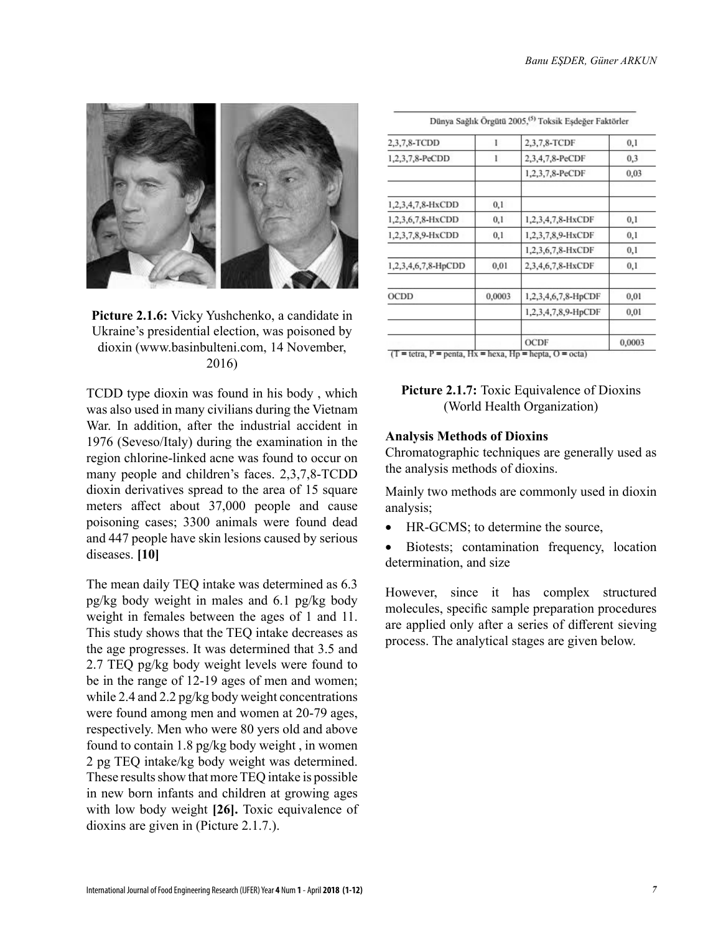

**Picture 2.1.6:** Vicky Yushchenko, a candidate in Ukraine's presidential election, was poisoned by dioxin (www.basinbulteni.com, 14 November, 2016)

TCDD type dioxin was found in his body , which was also used in many civilians during the Vietnam War. In addition, after the industrial accident in 1976 (Seveso/Italy) during the examination in the region chlorine-linked acne was found to occur on many people and children's faces. 2,3,7,8-TCDD dioxin derivatives spread to the area of 15 square meters affect about 37,000 people and cause poisoning cases; 3300 animals were found dead and 447 people have skin lesions caused by serious diseases. **[10]**

The mean daily TEQ intake was determined as 6.3 pg/kg body weight in males and 6.1 pg/kg body weight in females between the ages of 1 and 11. This study shows that the TEQ intake decreases as the age progresses. It was determined that 3.5 and 2.7 TEQ pg/kg body weight levels were found to be in the range of 12-19 ages of men and women; while 2.4 and 2.2 pg/kg body weight concentrations were found among men and women at 20-79 ages, respectively. Men who were 80 yers old and above found to contain 1.8 pg/kg body weight , in women 2 pg TEQ intake/kg body weight was determined. These results show that more TEQ intake is possible in new born infants and children at growing ages with low body weight **[26].** Toxic equivalence of dioxins are given in (Picture 2.1.7.).

| 2,3,7,8-TCDD        | 1      | 2,3,7,8-TCDF        | 0,1    |
|---------------------|--------|---------------------|--------|
| 1,2,3,7,8-PeCDD     | ı      | 2,3,4,7,8-PeCDF     | 0,3    |
|                     |        | 1,2,3,7,8-PeCDF     | 0,03   |
| 1,2,3,4,7,8-HxCDD   | 0,1    |                     |        |
| 1,2,3,6,7,8-HxCDD   | 0,1    | 1,2,3,4,7,8-HxCDF   | 0,1    |
| 1,2,3,7,8,9-HxCDD   | 0,1    | 1,2,3,7,8,9-HxCDF   | 0,1    |
|                     |        | 1,2,3,6,7,8-HxCDF   | 0,1    |
| 1,2,3,4,6,7,8-HpCDD | 0,01   | 2,3,4,6,7,8-HxCDF   | 0,1    |
| OCDD                | 0,0003 | 1,2,3,4,6,7,8-HpCDF | 0,01   |
|                     |        | 1,2,3,4,7,8,9-HpCDF | 0,01   |
|                     |        | OCDF                | 0,0003 |

 $\sigma$  at  $\Lambda$  are according to the total state.

## **Picture 2.1.7:** Toxic Equivalence of Dioxins (World Health Organization)

## **Analysis Methods of Dioxins**

Chromatographic techniques are generally used as the analysis methods of dioxins.

Mainly two methods are commonly used in dioxin analysis;

- HR-GCMS; to determine the source,
- Biotests; contamination frequency, location determination, and size

However, since it has complex structured molecules, specific sample preparation procedures are applied only after a series of different sieving process. The analytical stages are given below.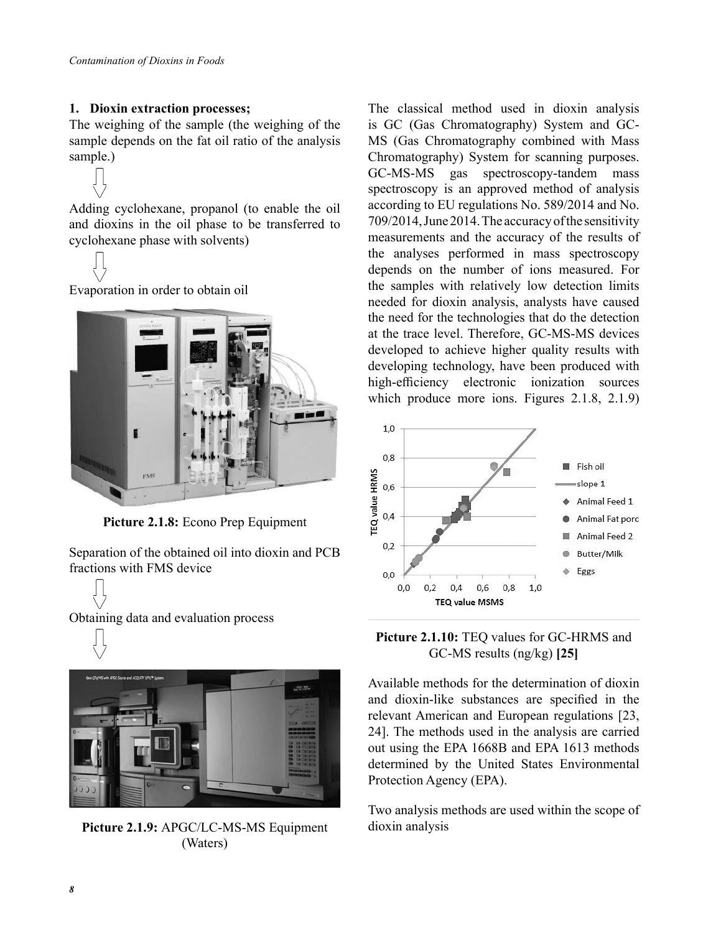### **1. Dioxin extraction processes;**

The weighing of the sample (the weighing of the sample depends on the fat oil ratio of the analysis sample.)

Adding cyclohexane, propanol (to enable the oil and dioxins in the oil phase to be transferred to cyclohexane phase with solvents)



Evaporation in order to obtain oil



**Picture 2.1.8:** Econo Prep Equipment

Separation of the obtained oil into dioxin and PCB fractions with FMS device

Obtaining data and evaluation process



**Picture 2.1.9:** APGC/LC-MS-MS Equipment (Waters)

The classical method used in dioxin analysis is GC (Gas Chromatography) System and GC-MS (Gas Chromatography combined with Mass Chromatography) System for scanning purposes. GC-MS-MS gas spectroscopy-tandem mass spectroscopy is an approved method of analysis according to EU regulations No. 589/2014 and No. 709/2014, June 2014. The accuracy of the sensitivity measurements and the accuracy of the results of the analyses performed in mass spectroscopy depends on the number of ions measured. For the samples with relatively low detection limits needed for dioxin analysis, analysts have caused the need for the technologies that do the detection at the trace level. Therefore, GC-MS-MS devices developed to achieve higher quality results with developing technology, have been produced with high-efficiency electronic ionization sources which produce more ions. Figures 2.1.8, 2.1.9)



**Picture 2.1.10:** TEQ values for GC-HRMS and GC-MS results (ng/kg) **[25]**

Available methods for the determination of dioxin and dioxin-like substances are specified in the relevant American and European regulations [23, 24]. The methods used in the analysis are carried out using the EPA 1668B and EPA 1613 methods determined by the United States Environmental Protection Agency (EPA).

Two analysis methods are used within the scope of dioxin analysis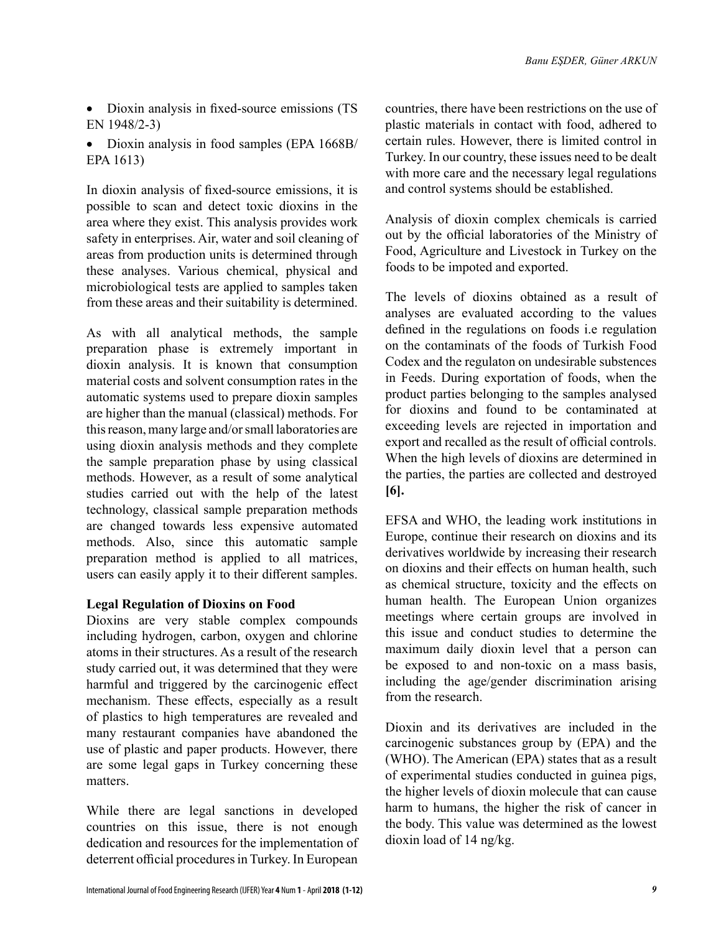- Dioxin analysis in fixed-source emissions (TS EN 1948/2-3)
- Dioxin analysis in food samples (EPA 1668B/ EPA 1613)

In dioxin analysis of fixed-source emissions, it is possible to scan and detect toxic dioxins in the area where they exist. This analysis provides work safety in enterprises. Air, water and soil cleaning of areas from production units is determined through these analyses. Various chemical, physical and microbiological tests are applied to samples taken from these areas and their suitability is determined.

As with all analytical methods, the sample preparation phase is extremely important in dioxin analysis. It is known that consumption material costs and solvent consumption rates in the automatic systems used to prepare dioxin samples are higher than the manual (classical) methods. For this reason, many large and/or small laboratories are using dioxin analysis methods and they complete the sample preparation phase by using classical methods. However, as a result of some analytical studies carried out with the help of the latest technology, classical sample preparation methods are changed towards less expensive automated methods. Also, since this automatic sample preparation method is applied to all matrices, users can easily apply it to their different samples.

## **Legal Regulation of Dioxins on Food**

Dioxins are very stable complex compounds including hydrogen, carbon, oxygen and chlorine atoms in their structures. As a result of the research study carried out, it was determined that they were harmful and triggered by the carcinogenic effect mechanism. These effects, especially as a result of plastics to high temperatures are revealed and many restaurant companies have abandoned the use of plastic and paper products. However, there are some legal gaps in Turkey concerning these matters.

While there are legal sanctions in developed countries on this issue, there is not enough dedication and resources for the implementation of deterrent official procedures in Turkey. In European

countries, there have been restrictions on the use of plastic materials in contact with food, adhered to certain rules. However, there is limited control in Turkey. In our country, these issues need to be dealt with more care and the necessary legal regulations and control systems should be established.

Analysis of dioxin complex chemicals is carried out by the official laboratories of the Ministry of Food, Agriculture and Livestock in Turkey on the foods to be impoted and exported.

The levels of dioxins obtained as a result of analyses are evaluated according to the values defined in the regulations on foods i.e regulation on the contaminats of the foods of Turkish Food Codex and the regulaton on undesirable substences in Feeds. During exportation of foods, when the product parties belonging to the samples analysed for dioxins and found to be contaminated at exceeding levels are rejected in importation and export and recalled as the result of official controls. When the high levels of dioxins are determined in the parties, the parties are collected and destroyed **[6].**

EFSA and WHO, the leading work institutions in Europe, continue their research on dioxins and its derivatives worldwide by increasing their research on dioxins and their effects on human health, such as chemical structure, toxicity and the effects on human health. The European Union organizes meetings where certain groups are involved in this issue and conduct studies to determine the maximum daily dioxin level that a person can be exposed to and non-toxic on a mass basis, including the age/gender discrimination arising from the research.

Dioxin and its derivatives are included in the carcinogenic substances group by (EPA) and the (WHO). The American (EPA) states that as a result of experimental studies conducted in guinea pigs, the higher levels of dioxin molecule that can cause harm to humans, the higher the risk of cancer in the body. This value was determined as the lowest dioxin load of 14 ng/kg.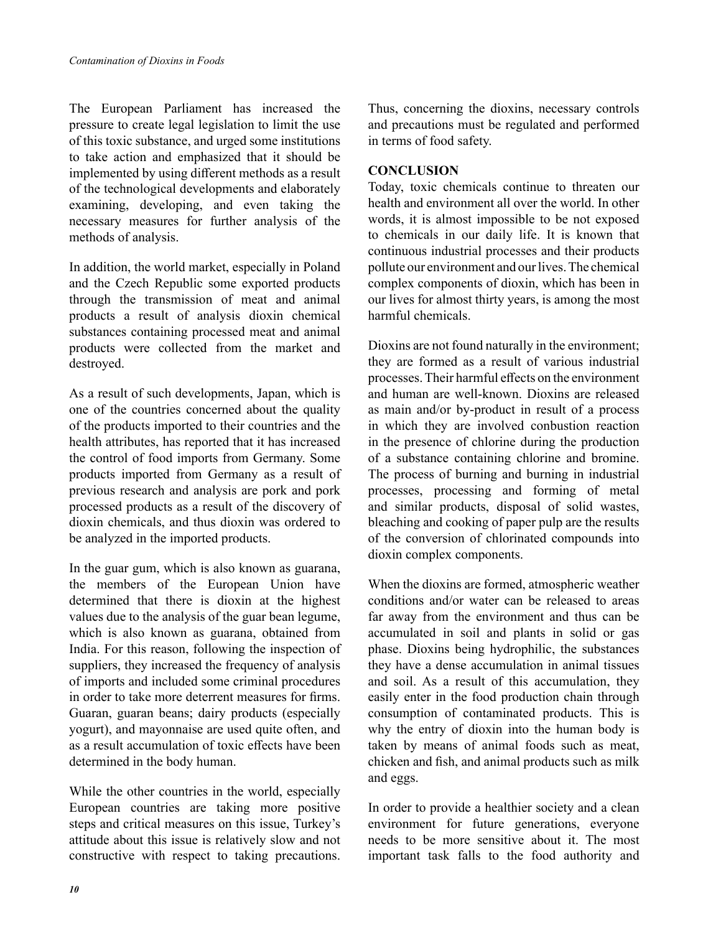The European Parliament has increased the pressure to create legal legislation to limit the use of this toxic substance, and urged some institutions to take action and emphasized that it should be implemented by using different methods as a result of the technological developments and elaborately examining, developing, and even taking the necessary measures for further analysis of the methods of analysis.

In addition, the world market, especially in Poland and the Czech Republic some exported products through the transmission of meat and animal products a result of analysis dioxin chemical substances containing processed meat and animal products were collected from the market and destroyed.

As a result of such developments, Japan, which is one of the countries concerned about the quality of the products imported to their countries and the health attributes, has reported that it has increased the control of food imports from Germany. Some products imported from Germany as a result of previous research and analysis are pork and pork processed products as a result of the discovery of dioxin chemicals, and thus dioxin was ordered to be analyzed in the imported products.

In the guar gum, which is also known as guarana, the members of the European Union have determined that there is dioxin at the highest values due to the analysis of the guar bean legume, which is also known as guarana, obtained from India. For this reason, following the inspection of suppliers, they increased the frequency of analysis of imports and included some criminal procedures in order to take more deterrent measures for firms. Guaran, guaran beans; dairy products (especially yogurt), and mayonnaise are used quite often, and as a result accumulation of toxic effects have been determined in the body human.

While the other countries in the world, especially European countries are taking more positive steps and critical measures on this issue, Turkey's attitude about this issue is relatively slow and not constructive with respect to taking precautions. Thus, concerning the dioxins, necessary controls and precautions must be regulated and performed in terms of food safety.

#### **CONCLUSION**

Today, toxic chemicals continue to threaten our health and environment all over the world. In other words, it is almost impossible to be not exposed to chemicals in our daily life. It is known that continuous industrial processes and their products pollute our environment and our lives. The chemical complex components of dioxin, which has been in our lives for almost thirty years, is among the most harmful chemicals.

Dioxins are not found naturally in the environment; they are formed as a result of various industrial processes. Their harmful effects on the environment and human are well-known. Dioxins are released as main and/or by-product in result of a process in which they are involved conbustion reaction in the presence of chlorine during the production of a substance containing chlorine and bromine. The process of burning and burning in industrial processes, processing and forming of metal and similar products, disposal of solid wastes, bleaching and cooking of paper pulp are the results of the conversion of chlorinated compounds into dioxin complex components.

When the dioxins are formed, atmospheric weather conditions and/or water can be released to areas far away from the environment and thus can be accumulated in soil and plants in solid or gas phase. Dioxins being hydrophilic, the substances they have a dense accumulation in animal tissues and soil. As a result of this accumulation, they easily enter in the food production chain through consumption of contaminated products. This is why the entry of dioxin into the human body is taken by means of animal foods such as meat, chicken and fish, and animal products such as milk and eggs.

In order to provide a healthier society and a clean environment for future generations, everyone needs to be more sensitive about it. The most important task falls to the food authority and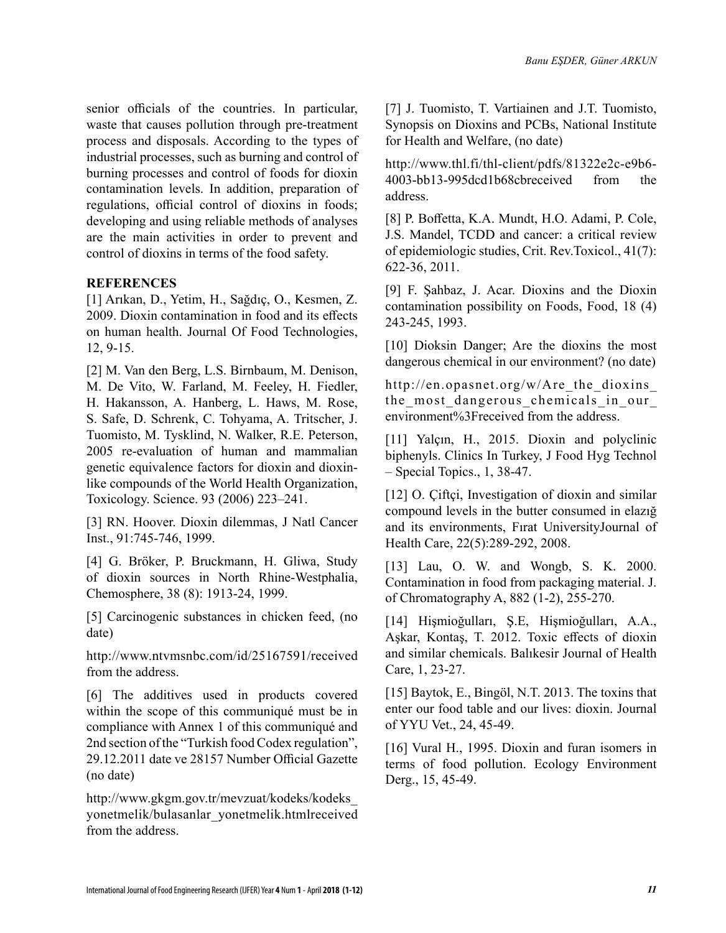senior officials of the countries. In particular, waste that causes pollution through pre-treatment process and disposals. According to the types of industrial processes, such as burning and control of burning processes and control of foods for dioxin contamination levels. In addition, preparation of regulations, official control of dioxins in foods; developing and using reliable methods of analyses are the main activities in order to prevent and control of dioxins in terms of the food safety.

## **REFERENCES**

[1] Arıkan, D., Yetim, H., Sağdıç, O., Kesmen, Z. 2009. Dioxin contamination in food and its effects on human health. Journal Of Food Technologies, 12, 9-15.

[2] M. Van den Berg, L.S. Birnbaum, M. Denison, M. De Vito, W. Farland, M. Feeley, H. Fiedler, H. Hakansson, A. Hanberg, L. Haws, M. Rose, S. Safe, D. Schrenk, C. Tohyama, A. Tritscher, J. Tuomisto, M. Tysklind, N. Walker, R.E. Peterson, 2005 re-evaluation of human and mammalian genetic equivalence factors for dioxin and dioxinlike compounds of the World Health Organization, Toxicology. Science. 93 (2006) 223–241.

[3] RN. Hoover. Dioxin dilemmas, J Natl Cancer Inst., 91:745-746, 1999.

[4] G. Bröker, P. Bruckmann, H. Gliwa, Study of dioxin sources in North Rhine-Westphalia, Chemosphere, 38 (8): 1913-24, 1999.

[5] Carcinogenic substances in chicken feed, (no date)

http://www.ntvmsnbc.com/id/25167591/received from the address.

[6] The additives used in products covered within the scope of this communiqué must be in compliance with Annex 1 of this communiqué and 2nd section of the "Turkish food Codex regulation", 29.12.2011 date ve 28157 Number Official Gazette (no date)

http://www.gkgm.gov.tr/mevzuat/kodeks/kodeks\_ yonetmelik/bulasanlar\_yonetmelik.htmlreceived from the address.

[7] J. Tuomisto, T. Vartiainen and J.T. Tuomisto, Synopsis on Dioxins and PCBs, National Institute for Health and Welfare, (no date)

http://www.thl.fi/thl-client/pdfs/81322e2c-e9b6- 4003-bb13-995dcd1b68cbreceived from the address.

[8] P. Boffetta, K.A. Mundt, H.O. Adami, P. Cole, J.S. Mandel, TCDD and cancer: a critical review of epidemiologic studies, Crit. Rev.Toxicol., 41(7): 622-36, 2011.

[9] F. Şahbaz, J. Acar. Dioxins and the Dioxin contamination possibility on Foods, Food, 18 (4) 243-245, 1993.

[10] Dioksin Danger; Are the dioxins the most dangerous chemical in our environment? (no date)

http://en.opasnet.org/w/Are\_the\_dioxins the most dangerous chemicals in our environment%3Freceived from the address.

[11] Yalçın, H., 2015. Dioxin and polyclinic biphenyls. Clinics In Turkey, J Food Hyg Technol – Special Topics., 1, 38-47.

[12] O. Ciftci, Investigation of dioxin and similar compound levels in the butter consumed in elazığ and its environments, Fırat UniversityJournal of Health Care, 22(5):289-292, 2008.

[13] Lau, O. W. and Wongb, S. K. 2000. Contamination in food from packaging material. J. of Chromatography A, 882 (1-2), 255-270.

[14] Hişmioğulları, Ş.E, Hişmioğulları, A.A., Aşkar, Kontaş, T. 2012. Toxic effects of dioxin and similar chemicals. Balıkesir Journal of Health Care, 1, 23-27.

[15] Baytok, E., Bingöl, N.T. 2013. The toxins that enter our food table and our lives: dioxin. Journal of YYU Vet., 24, 45-49.

[16] Vural H., 1995. Dioxin and furan isomers in terms of food pollution. Ecology Environment Derg., 15, 45-49.